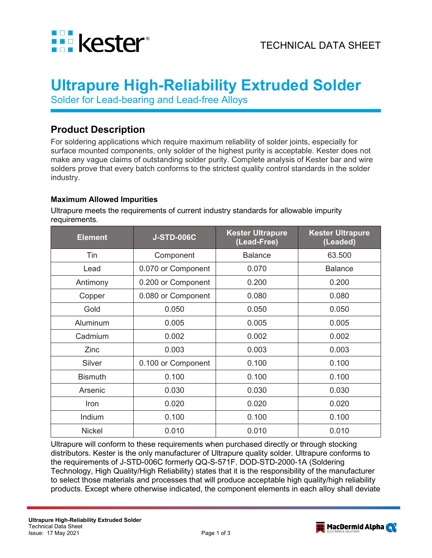

# **Ultrapure High-Reliability Extruded Solder**

Solder for Lead-bearing and Lead-free Alloys

## **Product Description**

For soldering applications which require maximum reliability of solder joints, especially for surface mounted components, only solder of the highest purity is acceptable. Kester does not make any vague claims of outstanding solder purity. Complete analysis of Kester bar and wire solders prove that every batch conforms to the strictest quality control standards in the solder industry.

#### **Maximum Allowed Impurities**

Ultrapure meets the requirements of current industry standards for allowable impurity requirements.

| <b>Element</b> | <b>J-STD-006C</b>  | <b>Kester Ultrapure</b><br>(Lead-Free) | <b>Kester Ultrapure</b><br>(Leaded) |
|----------------|--------------------|----------------------------------------|-------------------------------------|
| Tin            | Component          | <b>Balance</b>                         | 63.500                              |
| Lead           | 0.070 or Component | 0.070                                  | <b>Balance</b>                      |
| Antimony       | 0.200 or Component | 0.200                                  | 0.200                               |
| Copper         | 0.080 or Component | 0.080                                  | 0.080                               |
| Gold           | 0.050              | 0.050                                  | 0.050                               |
| Aluminum       | 0.005              | 0.005                                  | 0.005                               |
| Cadmium        | 0.002              | 0.002                                  | 0.002                               |
| Zinc           | 0.003              | 0.003                                  | 0.003                               |
| Silver         | 0.100 or Component | 0.100                                  | 0.100                               |
| <b>Bismuth</b> | 0.100              | 0.100                                  | 0.100                               |
| Arsenic        | 0.030              | 0.030                                  | 0.030                               |
| <b>Iron</b>    | 0.020              | 0.020                                  | 0.020                               |
| Indium         | 0.100              | 0.100                                  | 0.100                               |
| <b>Nickel</b>  | 0.010              | 0.010                                  | 0.010                               |

Ultrapure will conform to these requirements when purchased directly or through stocking distributors. Kester is the only manufacturer of Ultrapure quality solder. Ultrapure conforms to the requirements of J-STD-006C formerly QQ-S-571F. DOD-STD-2000-1A (Soldering Technology, High Quality/High Reliability) states that it is the responsibility of the manufacturer to select those materials and processes that will produce acceptable high quality/high reliability products. Except where otherwise indicated, the component elements in each alloy shall deviate

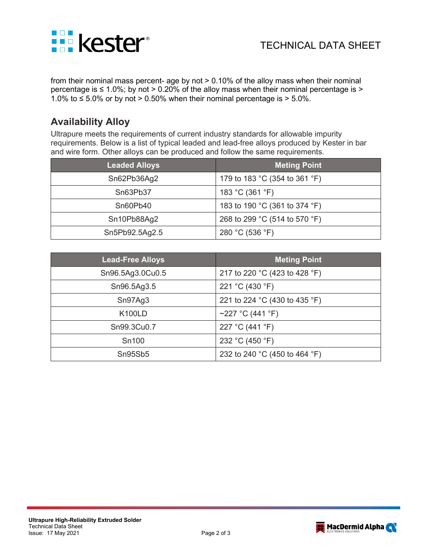

from their nominal mass percent- age by not > 0.10% of the alloy mass when their nominal percentage is  $\leq 1.0\%$ ; by not > 0.20% of the alloy mass when their nominal percentage is > 1.0% to ≤ 5.0% or by not > 0.50% when their nominal percentage is > 5.0%.

# **Availability Alloy**

Ultrapure meets the requirements of current industry standards for allowable impurity requirements. Below is a list of typical leaded and lead-free alloys produced by Kester in bar and wire form. Other alloys can be produced and follow the same requirements.

| <b>Leaded Alloys</b> | <b>Meting Point</b>           |  |
|----------------------|-------------------------------|--|
| Sn62Pb36Ag2          | 179 to 183 °C (354 to 361 °F) |  |
| Sn63Pb37             | 183 °C (361 °F)               |  |
| Sn60Pb40             | 183 to 190 °C (361 to 374 °F) |  |
| Sn10Pb88Ag2          | 268 to 299 °C (514 to 570 °F) |  |
| Sn5Pb92.5Ag2.5       | 280 °C (536 °F)               |  |

| <b>Lead-Free Alloys</b> | <b>Meting Point</b>           |  |
|-------------------------|-------------------------------|--|
| Sn96.5Ag3.0Cu0.5        | 217 to 220 °C (423 to 428 °F) |  |
| Sn96.5Ag3.5             | 221 °C (430 °F)               |  |
| Sn97Ag3                 | 221 to 224 °C (430 to 435 °F) |  |
| <b>K100LD</b>           | ~227 °C (441 °F)              |  |
| Sn99.3Cu0.7             | 227 °C (441 °F)               |  |
| Sn100                   | 232 °C (450 °F)               |  |
| Sn95Sb5                 | 232 to 240 °C (450 to 464 °F) |  |